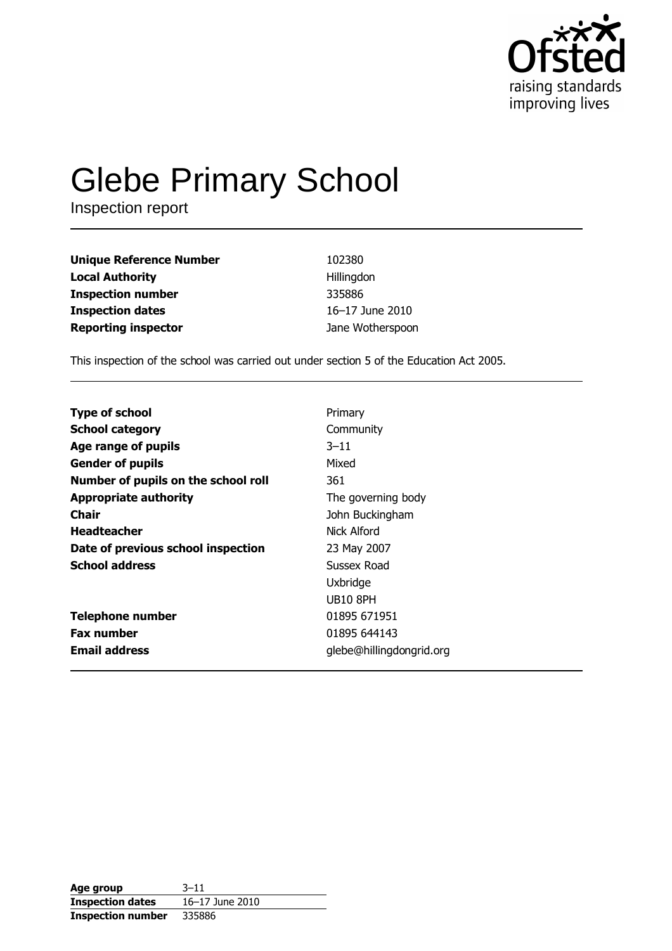

# **Glebe Primary School**

Inspection report

| <b>Unique Reference Number</b> | 102380           |
|--------------------------------|------------------|
| <b>Local Authority</b>         | Hillingdon       |
| <b>Inspection number</b>       | 335886           |
| <b>Inspection dates</b>        | 16-17 June 2010  |
| <b>Reporting inspector</b>     | Jane Wotherspoon |

This inspection of the school was carried out under section 5 of the Education Act 2005.

| <b>Type of school</b>               | Primary                  |
|-------------------------------------|--------------------------|
| <b>School category</b>              | Community                |
| Age range of pupils                 | $3 - 11$                 |
| <b>Gender of pupils</b>             | Mixed                    |
| Number of pupils on the school roll | 361                      |
| <b>Appropriate authority</b>        | The governing body       |
| Chair                               | John Buckingham          |
| <b>Headteacher</b>                  | Nick Alford              |
| Date of previous school inspection  | 23 May 2007              |
| <b>School address</b>               | Sussex Road              |
|                                     | Uxbridge                 |
|                                     | <b>UB10 8PH</b>          |
| <b>Telephone number</b>             | 01895 671951             |
| <b>Fax number</b>                   | 01895 644143             |
| <b>Email address</b>                | glebe@hillingdongrid.org |

| Age group                | $3 - 11$        |
|--------------------------|-----------------|
| <b>Inspection dates</b>  | 16-17 June 2010 |
| <b>Inspection number</b> | 335886          |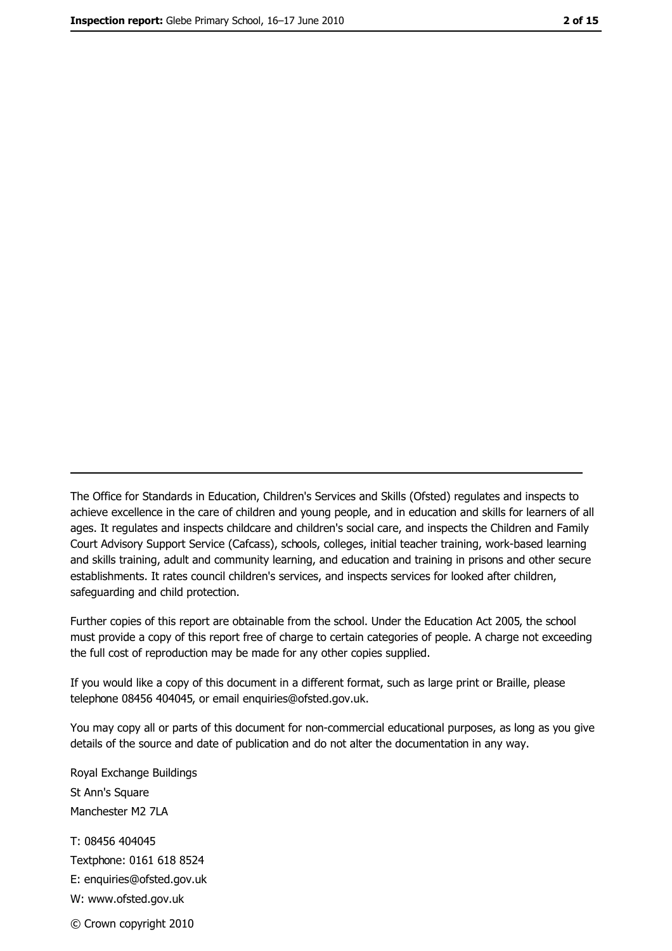The Office for Standards in Education, Children's Services and Skills (Ofsted) regulates and inspects to achieve excellence in the care of children and young people, and in education and skills for learners of all ages. It regulates and inspects childcare and children's social care, and inspects the Children and Family Court Advisory Support Service (Cafcass), schools, colleges, initial teacher training, work-based learning and skills training, adult and community learning, and education and training in prisons and other secure establishments. It rates council children's services, and inspects services for looked after children, safequarding and child protection.

Further copies of this report are obtainable from the school. Under the Education Act 2005, the school must provide a copy of this report free of charge to certain categories of people. A charge not exceeding the full cost of reproduction may be made for any other copies supplied.

If you would like a copy of this document in a different format, such as large print or Braille, please telephone 08456 404045, or email enquiries@ofsted.gov.uk.

You may copy all or parts of this document for non-commercial educational purposes, as long as you give details of the source and date of publication and do not alter the documentation in any way.

Royal Exchange Buildings St Ann's Square Manchester M2 7LA T: 08456 404045 Textphone: 0161 618 8524 E: enquiries@ofsted.gov.uk W: www.ofsted.gov.uk © Crown copyright 2010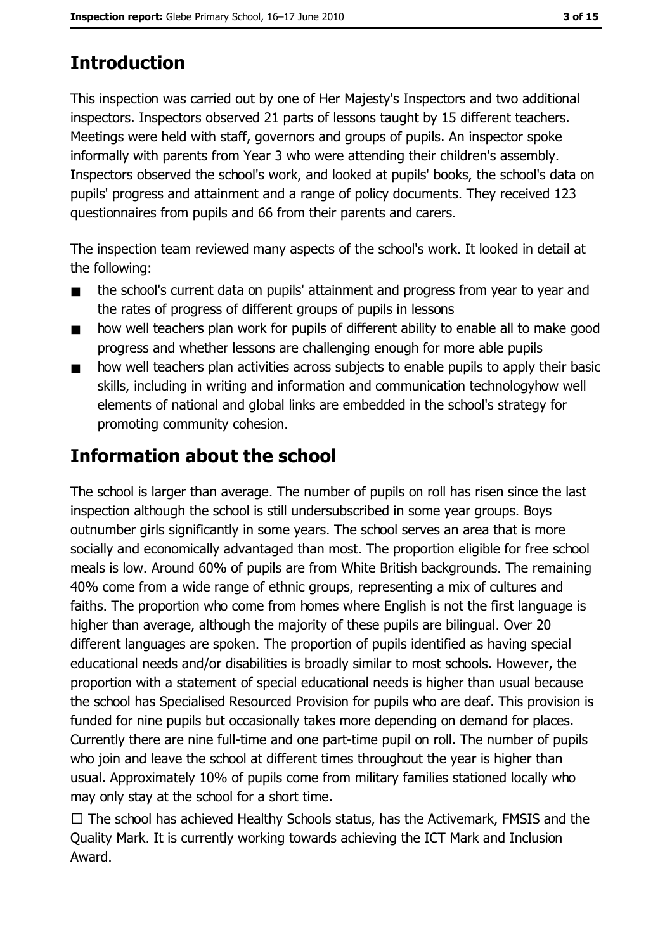# **Introduction**

This inspection was carried out by one of Her Majesty's Inspectors and two additional inspectors. Inspectors observed 21 parts of lessons taught by 15 different teachers. Meetings were held with staff, governors and groups of pupils. An inspector spoke informally with parents from Year 3 who were attending their children's assembly. Inspectors observed the school's work, and looked at pupils' books, the school's data on pupils' progress and attainment and a range of policy documents. They received 123 questionnaires from pupils and 66 from their parents and carers.

The inspection team reviewed many aspects of the school's work. It looked in detail at the following:

- the school's current data on pupils' attainment and progress from year to year and  $\blacksquare$ the rates of progress of different groups of pupils in lessons
- how well teachers plan work for pupils of different ability to enable all to make good  $\blacksquare$ progress and whether lessons are challenging enough for more able pupils
- how well teachers plan activities across subjects to enable pupils to apply their basic  $\blacksquare$ skills, including in writing and information and communication technologyhow well elements of national and global links are embedded in the school's strategy for promoting community cohesion.

# **Information about the school**

The school is larger than average. The number of pupils on roll has risen since the last inspection although the school is still undersubscribed in some year groups. Boys outnumber girls significantly in some years. The school serves an area that is more socially and economically advantaged than most. The proportion eligible for free school meals is low. Around 60% of pupils are from White British backgrounds. The remaining 40% come from a wide range of ethnic groups, representing a mix of cultures and faiths. The proportion who come from homes where English is not the first language is higher than average, although the majority of these pupils are bilingual. Over 20 different languages are spoken. The proportion of pupils identified as having special educational needs and/or disabilities is broadly similar to most schools. However, the proportion with a statement of special educational needs is higher than usual because the school has Specialised Resourced Provision for pupils who are deaf. This provision is funded for nine pupils but occasionally takes more depending on demand for places. Currently there are nine full-time and one part-time pupil on roll. The number of pupils who join and leave the school at different times throughout the year is higher than usual. Approximately 10% of pupils come from military families stationed locally who may only stay at the school for a short time.

 $\Box$  The school has achieved Healthy Schools status, has the Activemark, FMSIS and the Quality Mark. It is currently working towards achieving the ICT Mark and Inclusion Award.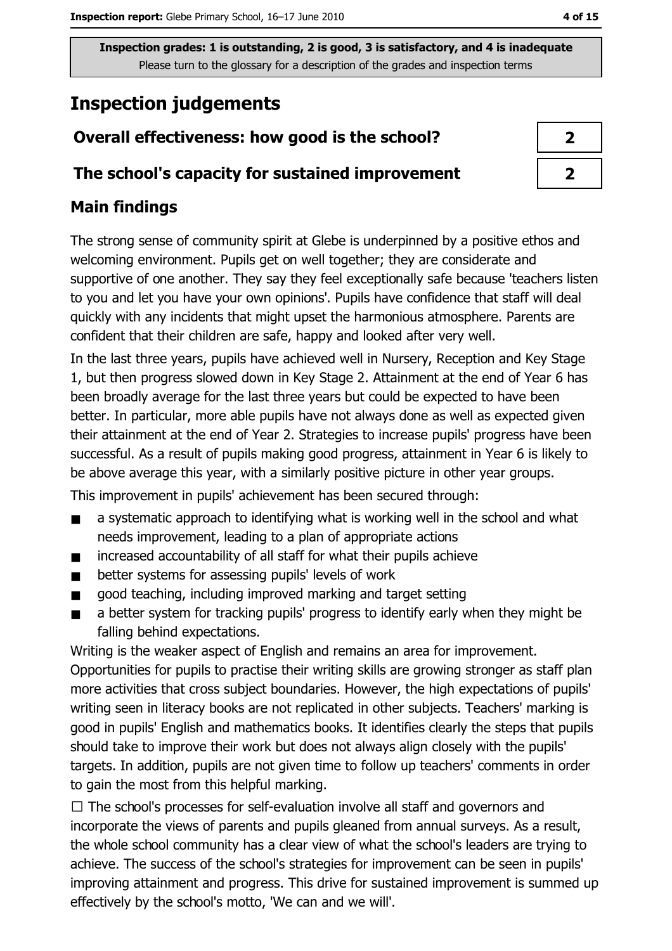# **Inspection judgements**

# Overall effectiveness: how good is the school?

# The school's capacity for sustained improvement

# **Main findings**

The strong sense of community spirit at Glebe is underpinned by a positive ethos and welcoming environment. Pupils get on well together; they are considerate and supportive of one another. They say they feel exceptionally safe because 'teachers listen to you and let you have your own opinions'. Pupils have confidence that staff will deal quickly with any incidents that might upset the harmonious atmosphere. Parents are confident that their children are safe, happy and looked after very well.

In the last three years, pupils have achieved well in Nursery, Reception and Key Stage 1, but then progress slowed down in Key Stage 2. Attainment at the end of Year 6 has been broadly average for the last three years but could be expected to have been better. In particular, more able pupils have not always done as well as expected given their attainment at the end of Year 2. Strategies to increase pupils' progress have been successful. As a result of pupils making good progress, attainment in Year 6 is likely to be above average this year, with a similarly positive picture in other year groups.

This improvement in pupils' achievement has been secured through:

- a systematic approach to identifying what is working well in the school and what  $\blacksquare$ needs improvement, leading to a plan of appropriate actions
- increased accountability of all staff for what their pupils achieve  $\blacksquare$
- better systems for assessing pupils' levels of work  $\blacksquare$
- good teaching, including improved marking and target setting  $\blacksquare$
- a better system for tracking pupils' progress to identify early when they might be  $\blacksquare$ falling behind expectations.

Writing is the weaker aspect of English and remains an area for improvement. Opportunities for pupils to practise their writing skills are growing stronger as staff plan more activities that cross subject boundaries. However, the high expectations of pupils' writing seen in literacy books are not replicated in other subjects. Teachers' marking is good in pupils' English and mathematics books. It identifies clearly the steps that pupils should take to improve their work but does not always align closely with the pupils' targets. In addition, pupils are not given time to follow up teachers' comments in order to gain the most from this helpful marking.

 $\Box$  The school's processes for self-evaluation involve all staff and governors and incorporate the views of parents and pupils gleaned from annual surveys. As a result, the whole school community has a clear view of what the school's leaders are trying to achieve. The success of the school's strategies for improvement can be seen in pupils' improving attainment and progress. This drive for sustained improvement is summed up effectively by the school's motto, 'We can and we will'.

| ) |
|---|
| ↗ |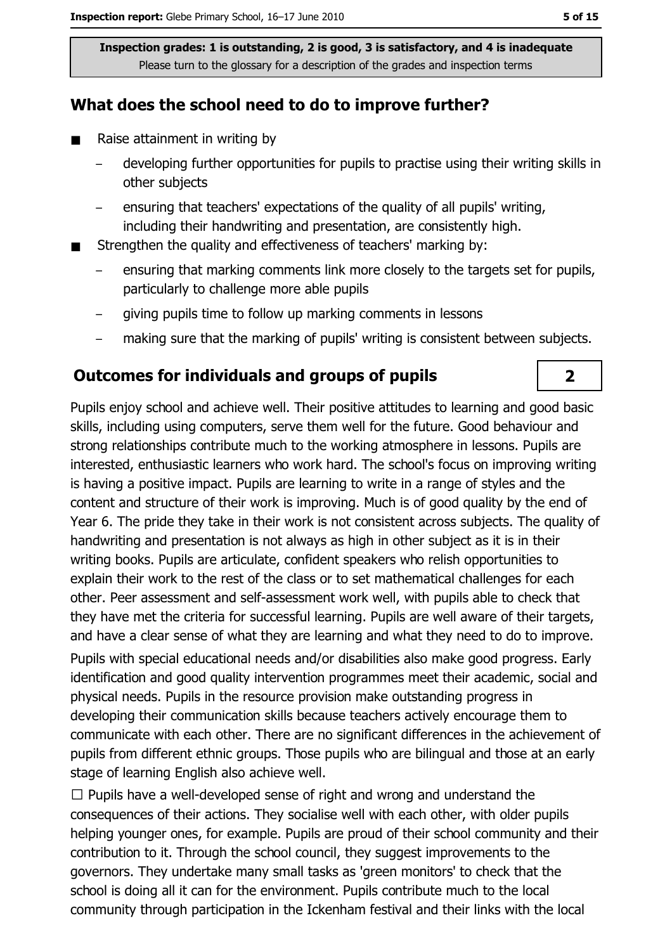# What does the school need to do to improve further?

- $\blacksquare$ Raise attainment in writing by
	- developing further opportunities for pupils to practise using their writing skills in other subjects
	- ensuring that teachers' expectations of the quality of all pupils' writing, including their handwriting and presentation, are consistently high.
- Strengthen the quality and effectiveness of teachers' marking by:  $\blacksquare$ 
	- ensuring that marking comments link more closely to the targets set for pupils, particularly to challenge more able pupils
	- giving pupils time to follow up marking comments in lessons
	- making sure that the marking of pupils' writing is consistent between subjects.  $\equiv$

### **Outcomes for individuals and groups of pupils**

Pupils enjoy school and achieve well. Their positive attitudes to learning and good basic skills, including using computers, serve them well for the future. Good behaviour and strong relationships contribute much to the working atmosphere in lessons. Pupils are interested, enthusiastic learners who work hard. The school's focus on improving writing is having a positive impact. Pupils are learning to write in a range of styles and the content and structure of their work is improving. Much is of good quality by the end of Year 6. The pride they take in their work is not consistent across subjects. The quality of handwriting and presentation is not always as high in other subject as it is in their writing books. Pupils are articulate, confident speakers who relish opportunities to explain their work to the rest of the class or to set mathematical challenges for each other. Peer assessment and self-assessment work well, with pupils able to check that they have met the criteria for successful learning. Pupils are well aware of their targets, and have a clear sense of what they are learning and what they need to do to improve. Pupils with special educational needs and/or disabilities also make good progress. Early identification and good quality intervention programmes meet their academic, social and physical needs. Pupils in the resource provision make outstanding progress in developing their communication skills because teachers actively encourage them to communicate with each other. There are no significant differences in the achievement of pupils from different ethnic groups. Those pupils who are bilingual and those at an early stage of learning English also achieve well.

 $\Box$  Pupils have a well-developed sense of right and wrong and understand the consequences of their actions. They socialise well with each other, with older pupils helping younger ones, for example. Pupils are proud of their school community and their contribution to it. Through the school council, they suggest improvements to the governors. They undertake many small tasks as 'green monitors' to check that the school is doing all it can for the environment. Pupils contribute much to the local community through participation in the Ickenham festival and their links with the local

# $\overline{2}$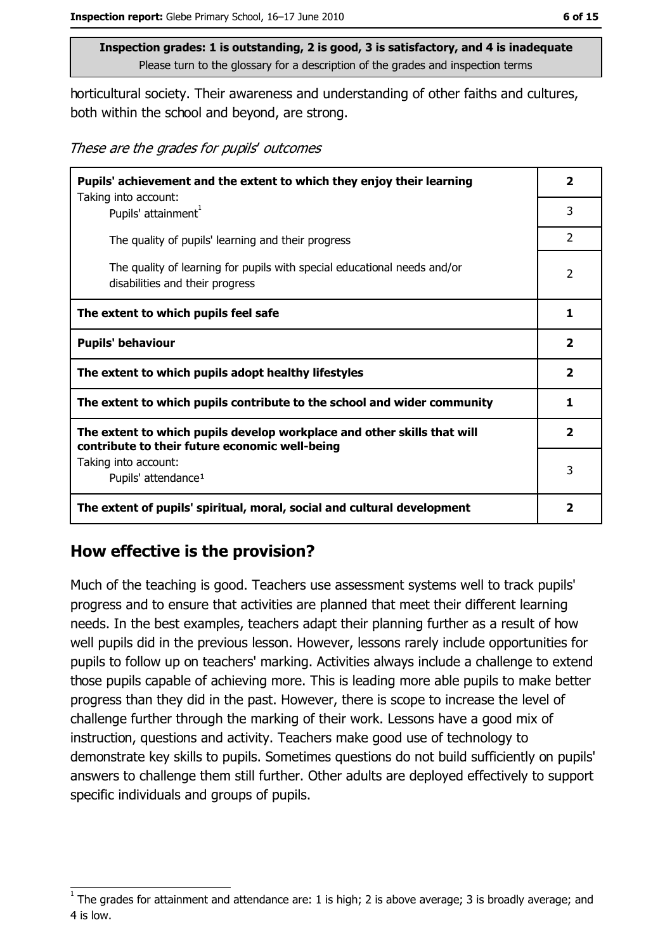6 of 15

Inspection grades: 1 is outstanding, 2 is good, 3 is satisfactory, and 4 is inadequate Please turn to the glossary for a description of the grades and inspection terms

horticultural society. Their awareness and understanding of other faiths and cultures, both within the school and beyond, are strong.

These are the grades for pupils' outcomes

| Pupils' achievement and the extent to which they enjoy their learning                                                     |                |
|---------------------------------------------------------------------------------------------------------------------------|----------------|
| Taking into account:<br>Pupils' attainment <sup>1</sup>                                                                   | 3              |
| The quality of pupils' learning and their progress                                                                        | $\overline{2}$ |
| The quality of learning for pupils with special educational needs and/or<br>disabilities and their progress               |                |
| The extent to which pupils feel safe                                                                                      |                |
| <b>Pupils' behaviour</b>                                                                                                  |                |
| The extent to which pupils adopt healthy lifestyles                                                                       |                |
| The extent to which pupils contribute to the school and wider community                                                   |                |
| The extent to which pupils develop workplace and other skills that will<br>contribute to their future economic well-being |                |
| Taking into account:                                                                                                      |                |
| Pupils' attendance <sup>1</sup>                                                                                           |                |
| The extent of pupils' spiritual, moral, social and cultural development                                                   | 2              |

### How effective is the provision?

Much of the teaching is good. Teachers use assessment systems well to track pupils' progress and to ensure that activities are planned that meet their different learning needs. In the best examples, teachers adapt their planning further as a result of how well pupils did in the previous lesson. However, lessons rarely include opportunities for pupils to follow up on teachers' marking. Activities always include a challenge to extend those pupils capable of achieving more. This is leading more able pupils to make better progress than they did in the past. However, there is scope to increase the level of challenge further through the marking of their work. Lessons have a good mix of instruction, questions and activity. Teachers make good use of technology to demonstrate key skills to pupils. Sometimes questions do not build sufficiently on pupils' answers to challenge them still further. Other adults are deployed effectively to support specific individuals and groups of pupils.

The grades for attainment and attendance are: 1 is high; 2 is above average; 3 is broadly average; and 4 is low.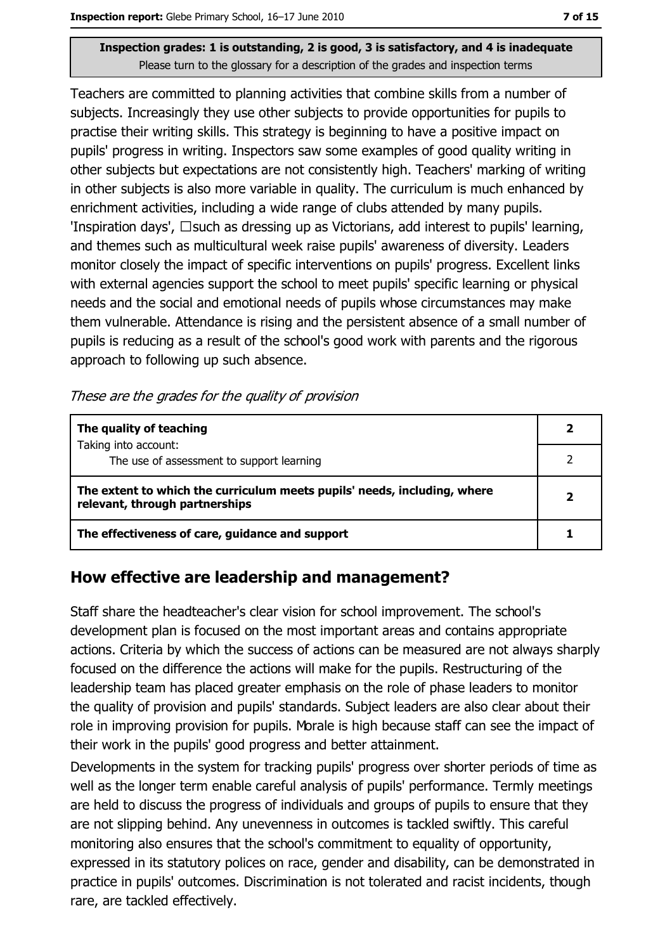Teachers are committed to planning activities that combine skills from a number of subjects. Increasingly they use other subjects to provide opportunities for pupils to practise their writing skills. This strategy is beginning to have a positive impact on pupils' progress in writing. Inspectors saw some examples of good quality writing in other subjects but expectations are not consistently high. Teachers' marking of writing in other subjects is also more variable in quality. The curriculum is much enhanced by enrichment activities, including a wide range of clubs attended by many pupils. 'Inspiration days',  $\Box$  such as dressing up as Victorians, add interest to pupils' learning, and themes such as multicultural week raise pupils' awareness of diversity. Leaders monitor closely the impact of specific interventions on pupils' progress. Excellent links with external agencies support the school to meet pupils' specific learning or physical needs and the social and emotional needs of pupils whose circumstances may make them vulnerable. Attendance is rising and the persistent absence of a small number of pupils is reducing as a result of the school's good work with parents and the rigorous approach to following up such absence.

These are the grades for the quality of provision

| The quality of teaching                                                                                    |  |
|------------------------------------------------------------------------------------------------------------|--|
| Taking into account:<br>The use of assessment to support learning                                          |  |
| The extent to which the curriculum meets pupils' needs, including, where<br>relevant, through partnerships |  |
| The effectiveness of care, guidance and support                                                            |  |

### How effective are leadership and management?

Staff share the headteacher's clear vision for school improvement. The school's development plan is focused on the most important areas and contains appropriate actions. Criteria by which the success of actions can be measured are not always sharply focused on the difference the actions will make for the pupils. Restructuring of the leadership team has placed greater emphasis on the role of phase leaders to monitor the quality of provision and pupils' standards. Subject leaders are also clear about their role in improving provision for pupils. Morale is high because staff can see the impact of their work in the pupils' good progress and better attainment.

Developments in the system for tracking pupils' progress over shorter periods of time as well as the longer term enable careful analysis of pupils' performance. Termly meetings are held to discuss the progress of individuals and groups of pupils to ensure that they are not slipping behind. Any unevenness in outcomes is tackled swiftly. This careful monitoring also ensures that the school's commitment to equality of opportunity, expressed in its statutory polices on race, gender and disability, can be demonstrated in practice in pupils' outcomes. Discrimination is not tolerated and racist incidents, though rare, are tackled effectively.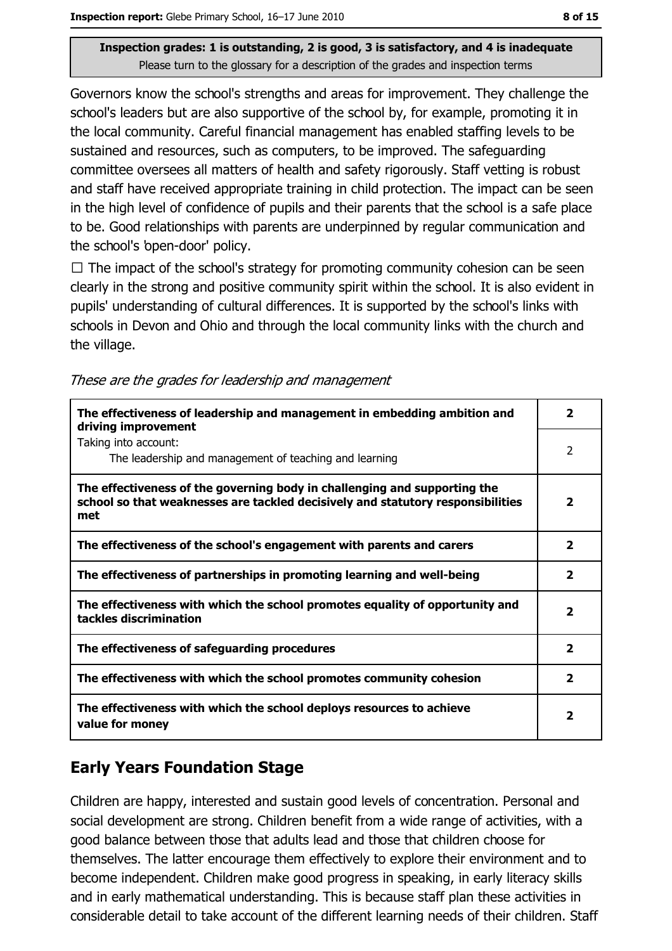Governors know the school's strengths and areas for improvement. They challenge the school's leaders but are also supportive of the school by, for example, promoting it in the local community. Careful financial management has enabled staffing levels to be sustained and resources, such as computers, to be improved. The safeguarding committee oversees all matters of health and safety rigorously. Staff vetting is robust and staff have received appropriate training in child protection. The impact can be seen in the high level of confidence of pupils and their parents that the school is a safe place to be. Good relationships with parents are underpinned by regular communication and the school's 'open-door' policy.

 $\Box$  The impact of the school's strategy for promoting community cohesion can be seen clearly in the strong and positive community spirit within the school. It is also evident in pupils' understanding of cultural differences. It is supported by the school's links with schools in Devon and Ohio and through the local community links with the church and the village.

| These are the grades for leadership and management |  |  |  |
|----------------------------------------------------|--|--|--|
|                                                    |  |  |  |

| The effectiveness of leadership and management in embedding ambition and<br>driving improvement                                                                     | $\overline{\mathbf{2}}$ |
|---------------------------------------------------------------------------------------------------------------------------------------------------------------------|-------------------------|
| Taking into account:<br>The leadership and management of teaching and learning                                                                                      | $\overline{2}$          |
| The effectiveness of the governing body in challenging and supporting the<br>school so that weaknesses are tackled decisively and statutory responsibilities<br>met | $\overline{\mathbf{2}}$ |
| The effectiveness of the school's engagement with parents and carers                                                                                                | $\overline{\mathbf{2}}$ |
| The effectiveness of partnerships in promoting learning and well-being                                                                                              | $\mathbf{z}$            |
| The effectiveness with which the school promotes equality of opportunity and<br>tackles discrimination                                                              | $\overline{\mathbf{2}}$ |
| The effectiveness of safeguarding procedures                                                                                                                        | $\overline{\mathbf{2}}$ |
| The effectiveness with which the school promotes community cohesion                                                                                                 | 2                       |
| The effectiveness with which the school deploys resources to achieve<br>value for money                                                                             | 2                       |

# **Early Years Foundation Stage**

Children are happy, interested and sustain good levels of concentration. Personal and social development are strong. Children benefit from a wide range of activities, with a good balance between those that adults lead and those that children choose for themselves. The latter encourage them effectively to explore their environment and to become independent. Children make good progress in speaking, in early literacy skills and in early mathematical understanding. This is because staff plan these activities in considerable detail to take account of the different learning needs of their children. Staff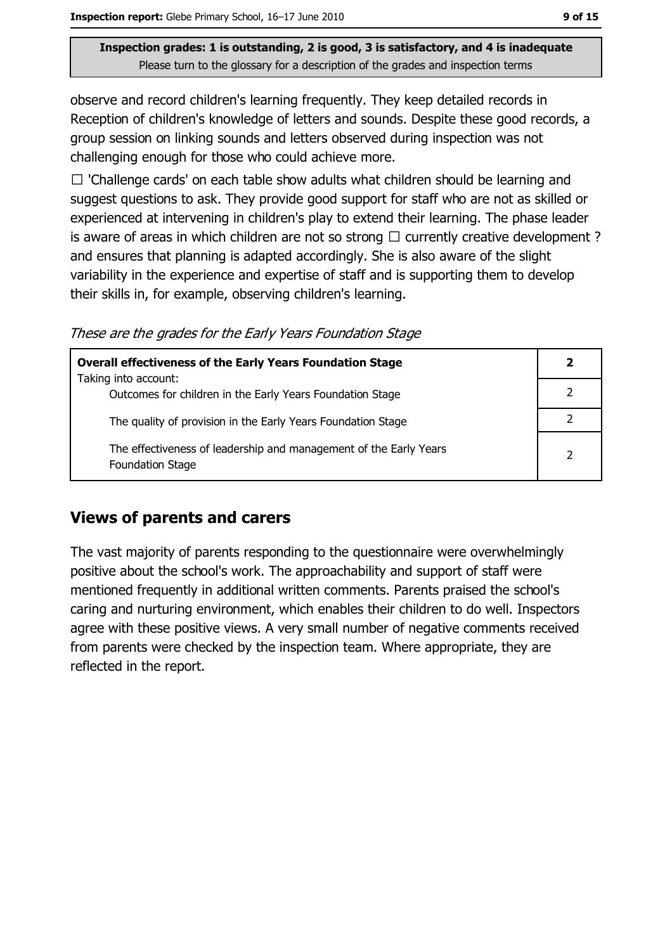observe and record children's learning frequently. They keep detailed records in Reception of children's knowledge of letters and sounds. Despite these good records, a group session on linking sounds and letters observed during inspection was not challenging enough for those who could achieve more.

 $\Box$  'Challenge cards' on each table show adults what children should be learning and suggest questions to ask. They provide good support for staff who are not as skilled or experienced at intervening in children's play to extend their learning. The phase leader is aware of areas in which children are not so strong  $\Box$  currently creative development? and ensures that planning is adapted accordingly. She is also aware of the slight variability in the experience and expertise of staff and is supporting them to develop their skills in, for example, observing children's learning.

These are the grades for the Early Years Foundation Stage

| <b>Overall effectiveness of the Early Years Foundation Stage</b>                             |  |  |
|----------------------------------------------------------------------------------------------|--|--|
| Taking into account:<br>Outcomes for children in the Early Years Foundation Stage            |  |  |
| The quality of provision in the Early Years Foundation Stage                                 |  |  |
| The effectiveness of leadership and management of the Early Years<br><b>Foundation Stage</b> |  |  |

### **Views of parents and carers**

The vast majority of parents responding to the questionnaire were overwhelmingly positive about the school's work. The approachability and support of staff were mentioned frequently in additional written comments. Parents praised the school's caring and nurturing environment, which enables their children to do well. Inspectors agree with these positive views. A very small number of negative comments received from parents were checked by the inspection team. Where appropriate, they are reflected in the report.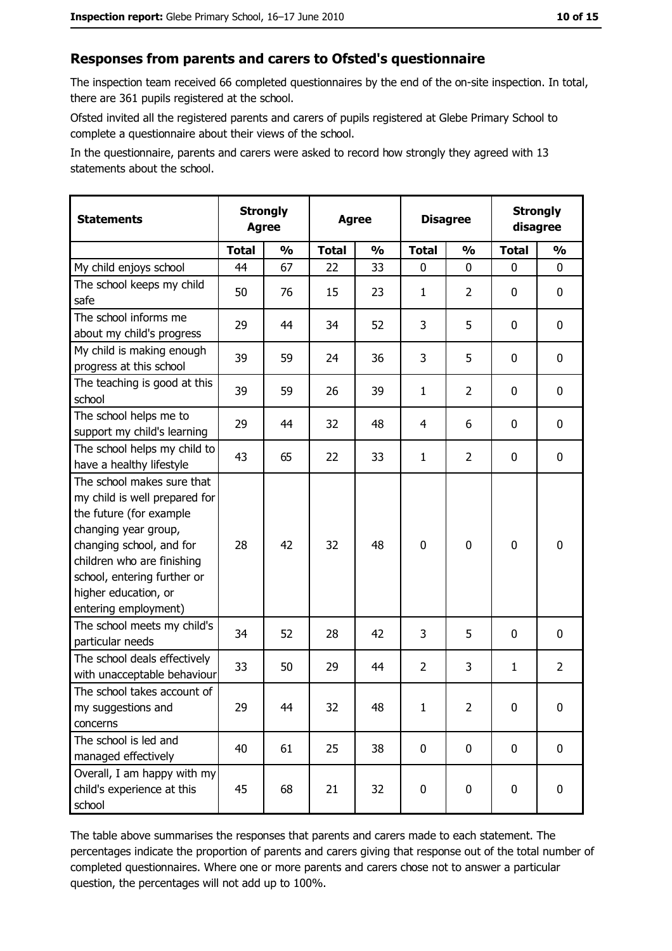#### Responses from parents and carers to Ofsted's questionnaire

The inspection team received 66 completed questionnaires by the end of the on-site inspection. In total, there are 361 pupils registered at the school.

Ofsted invited all the registered parents and carers of pupils registered at Glebe Primary School to complete a questionnaire about their views of the school.

In the questionnaire, parents and carers were asked to record how strongly they agreed with 13 statements about the school.

| <b>Statements</b>                                                                                                                                                                                                                                       |              | <b>Strongly</b><br><b>Strongly</b><br><b>Disagree</b><br><b>Agree</b><br>disagree<br><b>Agree</b> |              |               |                |                |              |                |
|---------------------------------------------------------------------------------------------------------------------------------------------------------------------------------------------------------------------------------------------------------|--------------|---------------------------------------------------------------------------------------------------|--------------|---------------|----------------|----------------|--------------|----------------|
|                                                                                                                                                                                                                                                         | <b>Total</b> | $\frac{1}{2}$                                                                                     | <b>Total</b> | $\frac{0}{0}$ | <b>Total</b>   | $\frac{0}{0}$  | <b>Total</b> | $\frac{1}{2}$  |
| My child enjoys school                                                                                                                                                                                                                                  | 44           | 67                                                                                                | 22           | 33            | $\mathbf 0$    | 0              | $\mathbf{0}$ | 0              |
| The school keeps my child<br>safe                                                                                                                                                                                                                       | 50           | 76                                                                                                | 15           | 23            | $\mathbf{1}$   | $\overline{2}$ | 0            | $\mathbf 0$    |
| The school informs me<br>about my child's progress                                                                                                                                                                                                      | 29           | 44                                                                                                | 34           | 52            | 3              | 5              | 0            | 0              |
| My child is making enough<br>progress at this school                                                                                                                                                                                                    | 39           | 59                                                                                                | 24           | 36            | 3              | 5              | $\mathbf 0$  | 0              |
| The teaching is good at this<br>school                                                                                                                                                                                                                  | 39           | 59                                                                                                | 26           | 39            | $\mathbf{1}$   | $\overline{2}$ | $\Omega$     | 0              |
| The school helps me to<br>support my child's learning                                                                                                                                                                                                   | 29           | 44                                                                                                | 32           | 48            | $\overline{4}$ | 6              | 0            | $\mathbf 0$    |
| The school helps my child to<br>have a healthy lifestyle                                                                                                                                                                                                | 43           | 65                                                                                                | 22           | 33            | $\mathbf{1}$   | 2              | 0            | $\mathbf 0$    |
| The school makes sure that<br>my child is well prepared for<br>the future (for example<br>changing year group,<br>changing school, and for<br>children who are finishing<br>school, entering further or<br>higher education, or<br>entering employment) | 28           | 42                                                                                                | 32           | 48            | $\mathbf 0$    | 0              | $\mathbf 0$  | $\mathbf 0$    |
| The school meets my child's<br>particular needs                                                                                                                                                                                                         | 34           | 52                                                                                                | 28           | 42            | 3              | 5              | $\Omega$     | $\mathbf 0$    |
| The school deals effectively<br>with unacceptable behaviour                                                                                                                                                                                             | 33           | 50                                                                                                | 29           | 44            | $\overline{2}$ | 3              | 1            | $\overline{2}$ |
| The school takes account of<br>my suggestions and<br>concerns                                                                                                                                                                                           | 29           | 44                                                                                                | 32           | 48            | 1              | 2              | 0            | 0              |
| The school is led and<br>managed effectively                                                                                                                                                                                                            | 40           | 61                                                                                                | 25           | 38            | $\mathbf 0$    | $\mathbf 0$    | $\mathbf 0$  | $\mathbf 0$    |
| Overall, I am happy with my<br>child's experience at this<br>school                                                                                                                                                                                     | 45           | 68                                                                                                | 21           | 32            | $\mathbf 0$    | 0              | 0            | $\mathbf 0$    |

The table above summarises the responses that parents and carers made to each statement. The percentages indicate the proportion of parents and carers giving that response out of the total number of completed questionnaires. Where one or more parents and carers chose not to answer a particular question, the percentages will not add up to 100%.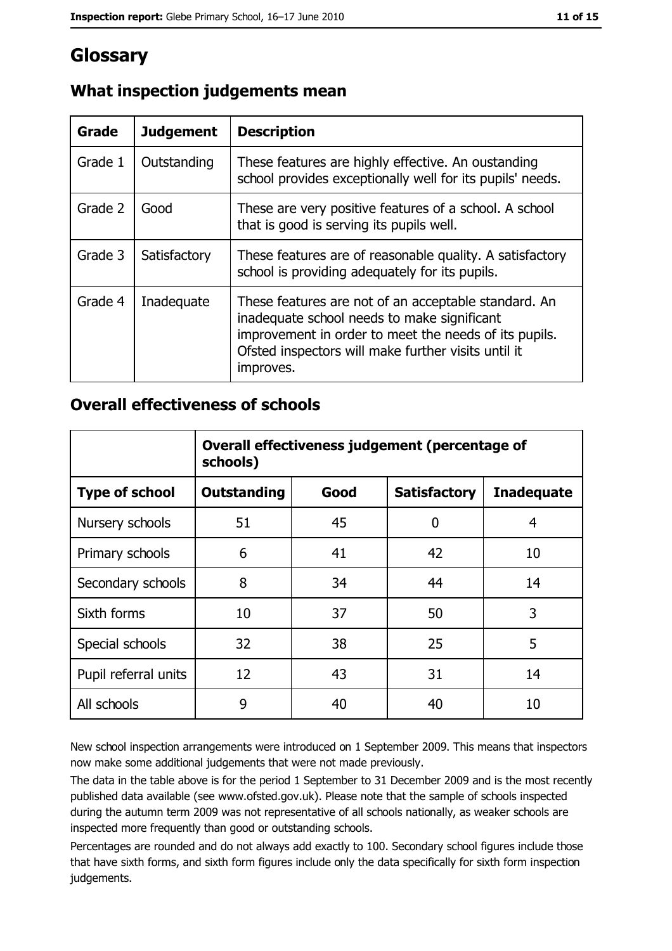# Glossary

| Grade   | <b>Judgement</b> | <b>Description</b>                                                                                                                                                                                                               |
|---------|------------------|----------------------------------------------------------------------------------------------------------------------------------------------------------------------------------------------------------------------------------|
| Grade 1 | Outstanding      | These features are highly effective. An oustanding<br>school provides exceptionally well for its pupils' needs.                                                                                                                  |
| Grade 2 | Good             | These are very positive features of a school. A school<br>that is good is serving its pupils well.                                                                                                                               |
| Grade 3 | Satisfactory     | These features are of reasonable quality. A satisfactory<br>school is providing adequately for its pupils.                                                                                                                       |
| Grade 4 | Inadequate       | These features are not of an acceptable standard. An<br>inadequate school needs to make significant<br>improvement in order to meet the needs of its pupils.<br>Ofsted inspectors will make further visits until it<br>improves. |

# What inspection judgements mean

# **Overall effectiveness of schools**

|                       | Overall effectiveness judgement (percentage of<br>schools)             |    |    |    |  |  |  |  |
|-----------------------|------------------------------------------------------------------------|----|----|----|--|--|--|--|
| <b>Type of school</b> | Good<br><b>Satisfactory</b><br><b>Outstanding</b><br><b>Inadequate</b> |    |    |    |  |  |  |  |
| Nursery schools       | 51                                                                     | 45 | 0  | 4  |  |  |  |  |
| Primary schools       | 6                                                                      | 41 | 42 | 10 |  |  |  |  |
| Secondary schools     | 8                                                                      | 34 | 44 | 14 |  |  |  |  |
| Sixth forms           | 10                                                                     | 37 | 50 | 3  |  |  |  |  |
| Special schools       | 32                                                                     | 38 | 25 | 5  |  |  |  |  |
| Pupil referral units  | 12                                                                     | 43 | 31 | 14 |  |  |  |  |
| All schools           | 9                                                                      | 40 | 40 | 10 |  |  |  |  |

New school inspection arrangements were introduced on 1 September 2009. This means that inspectors now make some additional judgements that were not made previously.

The data in the table above is for the period 1 September to 31 December 2009 and is the most recently published data available (see www.ofsted.gov.uk). Please note that the sample of schools inspected during the autumn term 2009 was not representative of all schools nationally, as weaker schools are inspected more frequently than good or outstanding schools.

Percentages are rounded and do not always add exactly to 100. Secondary school figures include those that have sixth forms, and sixth form figures include only the data specifically for sixth form inspection judgements.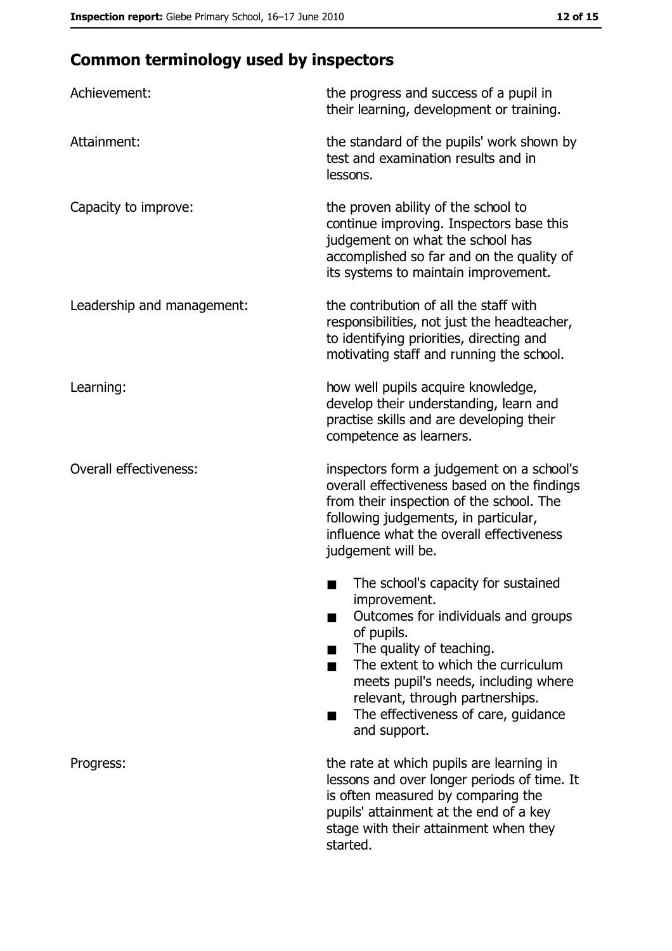# **Common terminology used by inspectors**

| Achievement:                  | the progress and success of a pupil in<br>their learning, development or training.                                                                                                                                                                                                                           |
|-------------------------------|--------------------------------------------------------------------------------------------------------------------------------------------------------------------------------------------------------------------------------------------------------------------------------------------------------------|
| Attainment:                   | the standard of the pupils' work shown by<br>test and examination results and in<br>lessons.                                                                                                                                                                                                                 |
| Capacity to improve:          | the proven ability of the school to<br>continue improving. Inspectors base this<br>judgement on what the school has<br>accomplished so far and on the quality of<br>its systems to maintain improvement.                                                                                                     |
| Leadership and management:    | the contribution of all the staff with<br>responsibilities, not just the headteacher,<br>to identifying priorities, directing and<br>motivating staff and running the school.                                                                                                                                |
| Learning:                     | how well pupils acquire knowledge,<br>develop their understanding, learn and<br>practise skills and are developing their<br>competence as learners.                                                                                                                                                          |
| <b>Overall effectiveness:</b> | inspectors form a judgement on a school's<br>overall effectiveness based on the findings<br>from their inspection of the school. The<br>following judgements, in particular,<br>influence what the overall effectiveness<br>judgement will be.                                                               |
|                               | The school's capacity for sustained<br>improvement.<br>Outcomes for individuals and groups<br>of pupils.<br>The quality of teaching.<br>The extent to which the curriculum<br>meets pupil's needs, including where<br>relevant, through partnerships.<br>The effectiveness of care, guidance<br>and support. |
| Progress:                     | the rate at which pupils are learning in<br>lessons and over longer periods of time. It<br>is often measured by comparing the<br>pupils' attainment at the end of a key<br>stage with their attainment when they<br>started.                                                                                 |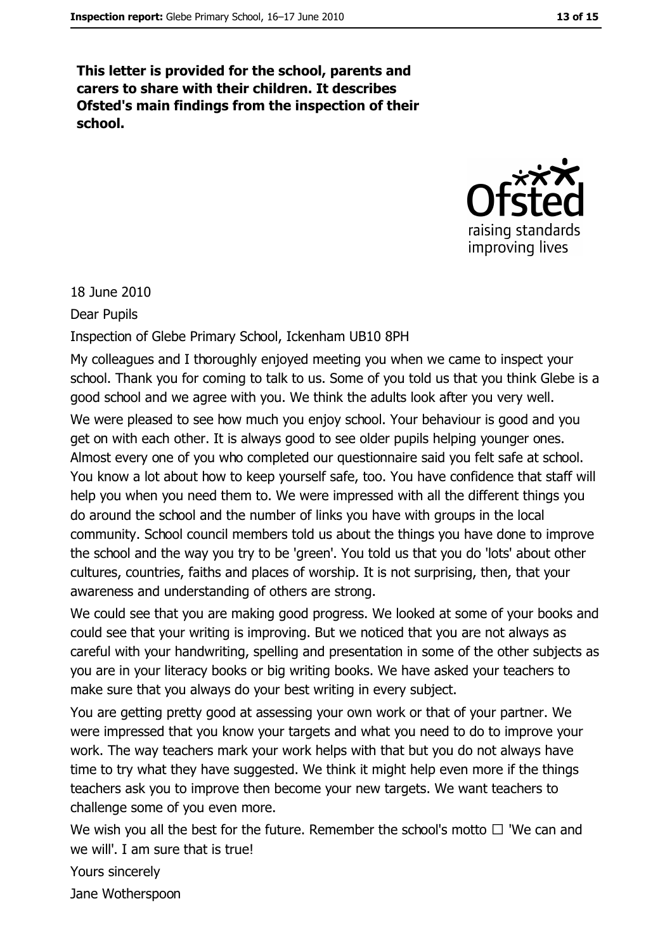This letter is provided for the school, parents and carers to share with their children. It describes Ofsted's main findings from the inspection of their school.



18 June 2010

**Dear Pupils** 

Inspection of Glebe Primary School, Ickenham UB10 8PH

My colleagues and I thoroughly enjoyed meeting you when we came to inspect your school. Thank you for coming to talk to us. Some of you told us that you think Glebe is a good school and we agree with you. We think the adults look after you very well. We were pleased to see how much you enjoy school. Your behaviour is good and you get on with each other. It is always good to see older pupils helping younger ones. Almost every one of you who completed our questionnaire said you felt safe at school. You know a lot about how to keep yourself safe, too. You have confidence that staff will help you when you need them to. We were impressed with all the different things you do around the school and the number of links you have with groups in the local community. School council members told us about the things you have done to improve the school and the way you try to be 'green'. You told us that you do 'lots' about other cultures, countries, faiths and places of worship. It is not surprising, then, that your awareness and understanding of others are strong.

We could see that you are making good progress. We looked at some of your books and could see that your writing is improving. But we noticed that you are not always as careful with your handwriting, spelling and presentation in some of the other subjects as you are in your literacy books or big writing books. We have asked your teachers to make sure that you always do your best writing in every subject.

You are getting pretty good at assessing your own work or that of your partner. We were impressed that you know your targets and what you need to do to improve your work. The way teachers mark your work helps with that but you do not always have time to try what they have suggested. We think it might help even more if the things teachers ask you to improve then become your new targets. We want teachers to challenge some of you even more.

We wish you all the best for the future. Remember the school's motto  $\Box$  'We can and we will'. I am sure that is true!

Yours sincerely Jane Wotherspoon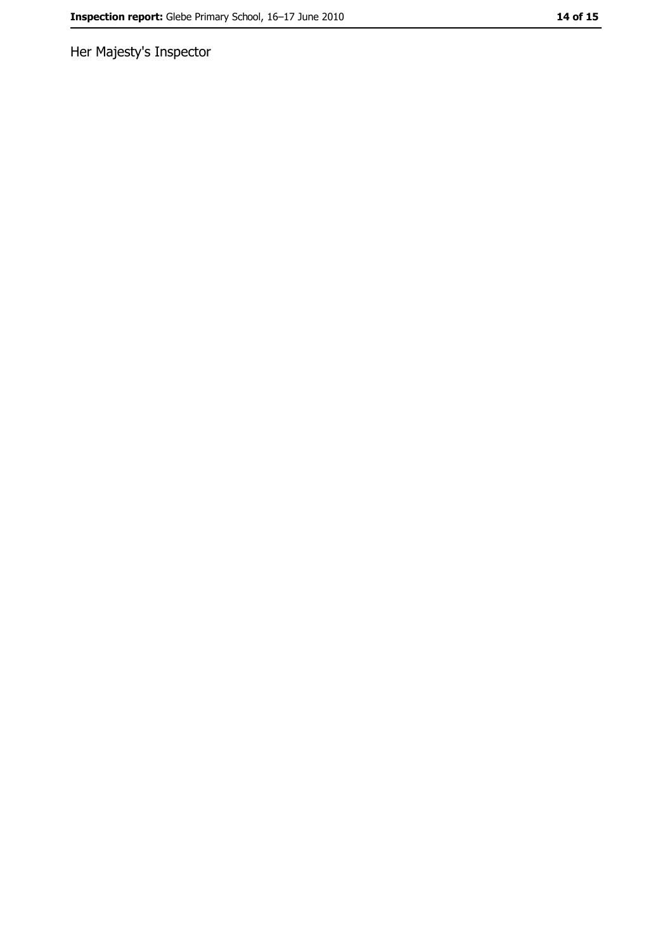Her Majesty's Inspector